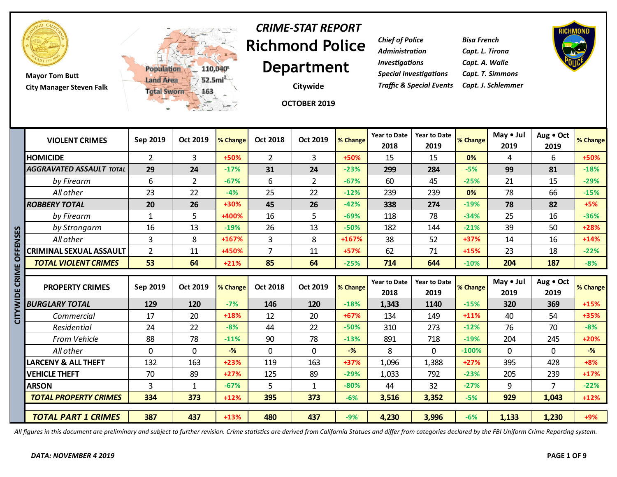

**Mayor Tom Butt City Manager Steven Falk**



# **Richmond Police Department** *CRIME-STAT REPORT*

**Citywide**

*Chief of Police Bisa French Administration Capt. L. Tirona Investigations Capt. A. Walle Special Investigations Capt. T. Simmons Traffic & Special Events Capt. J. Schlemmer*



|             |                                 | <b>TEL</b>     | 二元 1-7         |          |                 | OCTOBER 2019    |          |                             |                             |          |                   |                   |                  |
|-------------|---------------------------------|----------------|----------------|----------|-----------------|-----------------|----------|-----------------------------|-----------------------------|----------|-------------------|-------------------|------------------|
|             | <b>VIOLENT CRIMES</b>           | Sep 2019       | Oct 2019       | % Change | <b>Oct 2018</b> | <b>Oct 2019</b> | % Change | <b>Year to Date</b><br>2018 | <b>Year to Date</b><br>2019 | % Change | May • Jul<br>2019 | Aug . Oct<br>2019 | % Change         |
|             | <b>HOMICIDE</b>                 | $\overline{2}$ | 3              | +50%     | $\overline{2}$  | 3               | +50%     | 15                          | 15                          | 0%       | 4                 | 6                 | +50%             |
|             | <b>AGGRAVATED ASSAULT TOTAL</b> | 29             | 24             | $-17%$   | 31              | 24              | $-23%$   | 299                         | 284                         | $-5%$    | 99                | 81                | $-18%$           |
|             | by Firearm                      | 6              | $\overline{2}$ | $-67%$   | 6               | $\overline{2}$  | $-67%$   | 60                          | 45                          | $-25%$   | 21                | 15                | $-29%$           |
|             | All other                       | 23             | 22             | $-4%$    | 25              | 22              | $-12%$   | 239                         | 239                         | 0%       | 78                | 66                | $-15%$           |
|             | <b>ROBBERY TOTAL</b>            | 20             | 26             | +30%     | 45              | 26              | $-42%$   | 338                         | 274                         | $-19%$   | 78                | 82                | $+5%$            |
|             | by Firearm                      | $\mathbf{1}$   | 5              | +400%    | 16              | 5               | $-69%$   | 118                         | 78                          | $-34%$   | 25                | 16                | $-36%$           |
|             | by Strongarm                    | 16             | 13             | $-19%$   | 26              | 13              | $-50%$   | 182                         | 144                         | $-21%$   | 39                | 50                | $+28%$           |
| ENSES       | All other                       | $\overline{3}$ | 8              | +167%    | 3               | 8               | +167%    | 38                          | 52                          | $+37%$   | 14                | 16                | $+14%$           |
|             | <b>CRIMINAL SEXUAL ASSAULT</b>  | $\overline{2}$ | 11             | +450%    | $\overline{7}$  | 11              | +57%     | 62                          | 71                          | $+15%$   | 23                | 18                | $-22%$           |
|             | <b>TOTAL VIOLENT CRIMES</b>     | 53             | 64             | $+21%$   | 85              | 64              | $-25%$   | 714                         | 644                         | $-10%$   | 204               | 187               | $-8%$            |
|             |                                 |                |                |          |                 |                 |          |                             |                             |          |                   |                   |                  |
| CRIME OI    | <b>PROPERTY CRIMES</b>          | Sep 2019       | Oct 2019       | % Change | <b>Oct 2018</b> | <b>Oct 2019</b> | % Change | <b>Year to Date</b><br>2018 | <b>Year to Date</b><br>2019 | % Change | May • Jul<br>2019 | Aug . Oct<br>2019 |                  |
| <b>WIDE</b> | <b>BURGLARY TOTAL</b>           | 129            | 120            | $-7%$    | 146             | 120             | $-18%$   | 1,343                       | 1140                        | $-15%$   | 320               | 369               | $+15%$           |
|             | Commercial                      | 17             | 20             | +18%     | 12              | 20              | +67%     | 134                         | 149                         | $+11%$   | 40                | 54                | % Change<br>+35% |
|             | Residential                     | 24             | 22             | $-8%$    | 44              | 22              | $-50%$   | 310                         | 273                         | $-12%$   | 76                | 70                | $-8%$            |
| 즈<br>U      | From Vehicle                    | 88             | 78             | $-11%$   | 90              | 78              | $-13%$   | 891                         | 718                         | $-19%$   | 204               | 245               | $+20%$           |
|             | All other                       | $\mathbf 0$    | $\Omega$       | $-%$     | $\mathbf 0$     | $\mathbf{0}$    | $-%$     | 8                           | 0                           | $-100%$  | $\Omega$          | 0                 | $-$ %            |
|             | <b>LARCENY &amp; ALL THEFT</b>  | 132            | 163            | $+23%$   | 119             | 163             | +37%     | 1,096                       | 1,388                       | $+27%$   | 395               | 428               | $+8%$            |
|             | <b>VEHICLE THEFT</b>            | 70             | 89             | $+27%$   | 125             | 89              | $-29%$   | 1,033                       | 792                         | $-23%$   | 205               | 239               | $+17%$           |
|             | <b>ARSON</b>                    | 3              | $\mathbf{1}$   | $-67%$   | 5               | 1               | $-80%$   | 44                          | 32                          | $-27%$   | 9                 | $\overline{7}$    | $-22%$           |
|             | <b>TOTAL PROPERTY CRIMES</b>    | 334            | 373            | $+12%$   | 395             | 373             | $-6%$    | 3,516                       | 3,352                       | $-5%$    | 929               | 1,043             | $+12%$           |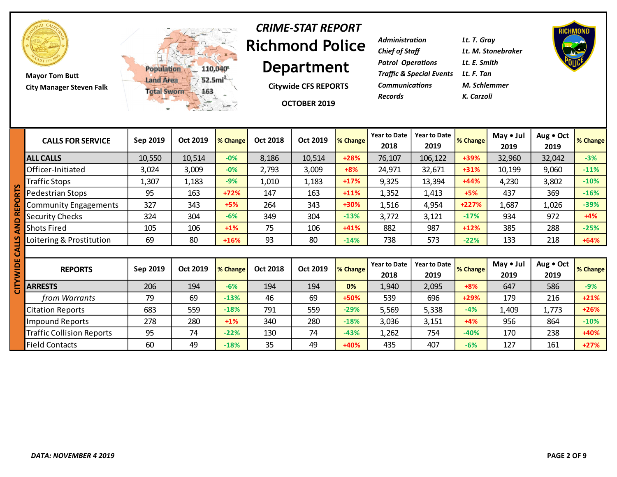

**Mayor Tom Butt City Manager Steven Falk**



#### **Richmond Police Department** *CRIME-STAT REPORT*

**Citywide CFS REPORTS**

**OCTOBER 2019**

| Lt. T. Gray                              |
|------------------------------------------|
| Lt. M. Stonebraker                       |
| Lt. E. Smith                             |
| Traffic & Special Events      Lt. F. Tan |
| M. Schlemmer                             |
| K. Carzoli                               |
|                                          |



|   | <b>CALLS FOR SERVICE</b>         | Sep 2019 | Oct 2019 | % Change | <b>Oct 2018</b> | Oct 2019 | % Change | <b>Year to Date</b><br>2018 | <b>Year to Date</b><br>2019 | % Change | May • Jul<br>2019 | Aug . Oct<br>2019 | % Change |
|---|----------------------------------|----------|----------|----------|-----------------|----------|----------|-----------------------------|-----------------------------|----------|-------------------|-------------------|----------|
|   | <b>ALL CALLS</b>                 | 10,550   | 10,514   | $-0%$    | 8,186           | 10,514   | $+28%$   | 76,107                      | 106,122                     | +39%     | 32,960            | 32,042            | $-3%$    |
|   | Officer-Initiated                | 3,024    | 3,009    | $-0%$    | 2,793           | 3,009    | $+8%$    | 24,971                      | 32,671                      | $+31%$   | 10,199            | 9,060             | $-11%$   |
|   | Traffic Stops                    | 1,307    | 1,183    | $-9%$    | 1,010           | 1,183    | $+17%$   | 9,325                       | 13,394                      | $+44%$   | 4,230             | 3,802             | $-10%$   |
|   | Pedestrian Stops                 | 95       | 163      | $+72%$   | 147             | 163      | $+11%$   | 1,352                       | 1,413                       | $+5%$    | 437               | 369               | $-16%$   |
|   | <b>Community Engagements</b>     | 327      | 343      | $+5%$    | 264             | 343      | +30%     | 1,516                       | 4,954                       | $+227%$  | 1,687             | 1,026             | $-39%$   |
|   | <b>Security Checks</b>           | 324      | 304      | $-6%$    | 349             | 304      | $-13%$   | 3,772                       | 3,121                       | $-17%$   | 934               | 972               | $+4%$    |
|   | <b>Shots Fired</b>               | 105      | 106      | $+1\%$   | 75              | 106      | $+41%$   | 882                         | 987                         | $+12%$   | 385               | 288               | $-25%$   |
|   | Loitering & Prostitution         | 69       | 80       | $+16%$   | 93              | 80       | $-14%$   | 738                         | 573                         | $-22%$   | 133               | 218               | $+64%$   |
| ๔ |                                  |          |          |          |                 |          |          |                             |                             |          |                   |                   |          |
|   | <b>REPORTS</b>                   | Sep 2019 | Oct 2019 | % Change | <b>Oct 2018</b> | Oct 2019 | % Change | <b>Year to Date</b><br>2018 | <b>Year to Date</b><br>2019 | % Change | May • Jul<br>2019 | Aug . Oct<br>2019 | % Change |
|   | <b>ARRESTS</b>                   | 206      | 194      | $-6%$    | 194             | 194      | 0%       | 1,940                       | 2,095                       | $+8%$    | 647               | 586               | $-9%$    |
|   | from Warrants                    | 79       | 69       | $-13%$   | 46              | 69       | +50%     | 539                         | 696                         | $+29%$   | 179               | 216               | $+21%$   |
|   | <b>Citation Reports</b>          | 683      | 559      | $-18%$   | 791             | 559      | $-29%$   | 5,569                       | 5,338                       | $-4%$    | 1,409             | 1,773             | $+26%$   |
|   | <b>Impound Reports</b>           | 278      | 280      | $+1\%$   | 340             | 280      | $-18%$   | 3,036                       | 3,151                       | $+4%$    | 956               | 864               | $-10%$   |
|   | <b>Traffic Collision Reports</b> | 95       | 74       | $-22%$   | 130             | 74       | $-43%$   | 1,262                       | 754                         | $-40%$   | 170               | 238               | +40%     |
|   | <b>Field Contacts</b>            | 60       | 49       | $-18%$   | 35              | 49       | +40%     | 435                         | 407                         | $-6%$    | 127               | 161               | $+27%$   |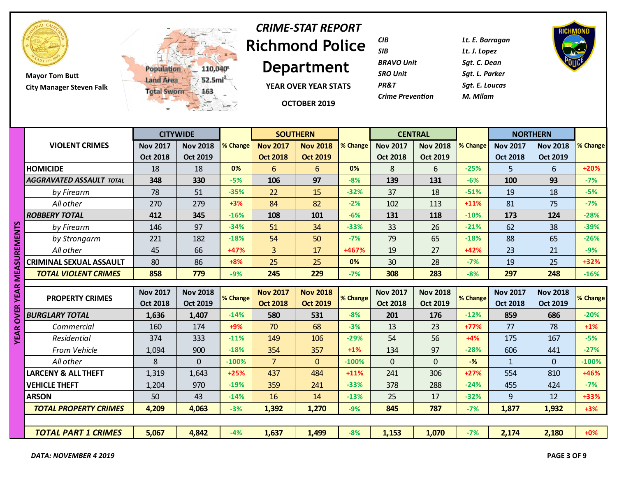

**Mayor Tom Butt City Manager Steven Falk**



# **Richmond Police**  *CRIME-STAT REPORT*

**Department**

**YEAR OVER YEAR STATS**

**OCTOBER 2019**

| CIB                     | Lt. E. Barragan |
|-------------------------|-----------------|
| SIB                     | Lt. J. Lopez    |
| <b>BRAVO Unit</b>       | Sgt. C. Dean    |
| <b>SRO Unit</b>         | Sat. L. Parker  |
| PR&T                    | Sat. E. Loucas  |
| <b>Crime Prevention</b> | M. Milam        |
|                         |                 |



|                               |                                 |                 | <b>CITYWIDE</b> |          |                 | <b>SOUTHERN</b> |          |                 | <b>CENTRAL</b>  |          | <b>NORTHERN</b> |                 |          |
|-------------------------------|---------------------------------|-----------------|-----------------|----------|-----------------|-----------------|----------|-----------------|-----------------|----------|-----------------|-----------------|----------|
|                               | <b>VIOLENT CRIMES</b>           | <b>Nov 2017</b> | <b>Nov 2018</b> | % Change | <b>Nov 2017</b> | <b>Nov 2018</b> | % Change | <b>Nov 2017</b> | <b>Nov 2018</b> | % Change | <b>Nov 2017</b> | <b>Nov 2018</b> | % Change |
|                               |                                 | <b>Oct 2018</b> | <b>Oct 2019</b> |          | <b>Oct 2018</b> | <b>Oct 2019</b> |          | <b>Oct 2018</b> | <b>Oct 2019</b> |          | <b>Oct 2018</b> | <b>Oct 2019</b> |          |
|                               | <b>HOMICIDE</b>                 | 18              | 18              | 0%       | 6               | 6               | 0%       | 8               | 6               | $-25%$   | 5.              | 6               | $+20%$   |
|                               | <b>AGGRAVATED ASSAULT TOTAL</b> | 348             | 330             | $-5%$    | 106             | 97              | $-8%$    | 139             | 131             | $-6%$    | 100             | 93              | $-7%$    |
|                               | by Firearm                      | 78              | 51              | $-35%$   | 22              | 15              | $-32%$   | 37              | 18              | $-51%$   | 19              | 18              | $-5%$    |
|                               | All other                       | 270             | 279             | $+3%$    | 84              | 82              | $-2%$    | 102             | 113             | $+11%$   | 81              | 75              | $-7%$    |
|                               | <b>ROBBERY TOTAL</b>            | 412             | 345             | $-16%$   | 108             | 101             | $-6%$    | 131             | 118             | $-10%$   | 173             | 124             | $-28%$   |
|                               | by Firearm                      | 146             | 97              | $-34%$   | 51              | 34              | $-33%$   | 33              | 26              | $-21%$   | 62              | 38              | $-39%$   |
|                               | by Strongarm                    | 221             | 182             | $-18%$   | 54              | 50              | $-7%$    | 79              | 65              | $-18%$   | 88              | 65              | $-26%$   |
|                               | All other                       | 45              | 66              | $+47%$   | $\overline{3}$  | 17              | +467%    | 19              | 27              | $+42%$   | 23              | 21              | $-9%$    |
|                               | CRIMINAL SEXUAL ASSAULT         | 80              | 86              | $+8%$    | 25              | 25              | 0%       | 30              | 28              | $-7%$    | 19              | 25              | +32%     |
| <b>OVER YEAR MEASUREMENTS</b> | <b>TOTAL VIOLENT CRIMES</b>     | 858             | 779             | $-9%$    | 245             | 229             | $-7%$    | 308             | 283             | $-8%$    | 297             | 248             | $-16%$   |
|                               |                                 |                 |                 |          |                 |                 |          |                 |                 |          |                 |                 |          |
|                               | <b>PROPERTY CRIMES</b>          | <b>Nov 2017</b> | <b>Nov 2018</b> | % Change | <b>Nov 2017</b> | <b>Nov 2018</b> | % Change | <b>Nov 2017</b> | <b>Nov 2018</b> | % Change | <b>Nov 2017</b> | <b>Nov 2018</b> | % Change |
|                               |                                 | <b>Oct 2018</b> | <b>Oct 2019</b> |          | <b>Oct 2018</b> | <b>Oct 2019</b> |          | <b>Oct 2018</b> | <b>Oct 2019</b> |          | <b>Oct 2018</b> | <b>Oct 2019</b> |          |
|                               | <b>BURGLARY TOTAL</b>           | 1,636           | 1,407           | $-14%$   | 580             | 531             | $-8%$    | 201             | 176             | $-12%$   | 859             | 686             | $-20%$   |
|                               | Commercial                      | 160             | 174             | $+9%$    | 70              | 68              | $-3%$    | 13              | 23              | $+77%$   | 77              | 78              | $+1\%$   |
| <b>YEAR</b>                   | Residential                     | 374             | 333             | $-11%$   | 149             | 106             | $-29%$   | 54              | 56              | $+4%$    | 175             | 167             | $-5%$    |
|                               | From Vehicle                    | 1,094           | 900             | $-18%$   | 354             | 357             | $+1%$    | 134             | 97              | $-28%$   | 606             | 441             | $-27%$   |
|                               | All other                       | 8               | $\Omega$        | $-100%$  | $\overline{7}$  | $\mathbf{0}$    | $-100%$  | $\Omega$        | $\mathbf{0}$    | $-%$     | $\mathbf{1}$    | $\mathbf{0}$    | $-100%$  |
|                               | <b>LARCENY &amp; ALL THEFT</b>  | 1,319           | 1,643           | $+25%$   | 437             | 484             | $+11%$   | 241             | 306             | $+27%$   | 554             | 810             | +46%     |
|                               | <b>VEHICLE THEFT</b>            | 1,204           | 970             | $-19%$   | 359             | 241             | $-33%$   | 378             | 288             | $-24%$   | 455             | 424             | $-7%$    |
|                               | <b>ARSON</b>                    | 50              | 43              | $-14%$   | 16              | 14              | $-13%$   | 25              | 17              | $-32%$   | 9               | 12              | +33%     |
|                               | <b>TOTAL PROPERTY CRIMES</b>    | 4,209           | 4,063           | $-3%$    | 1,392           | 1,270           | $-9%$    | 845             | 787             | $-7%$    | 1,877           | 1,932           | $+3%$    |
|                               |                                 |                 |                 |          |                 |                 |          |                 |                 |          |                 |                 |          |
|                               | <b>TOTAL PART 1 CRIMES</b>      | 5,067           | 4,842           |          |                 |                 |          |                 |                 |          |                 |                 |          |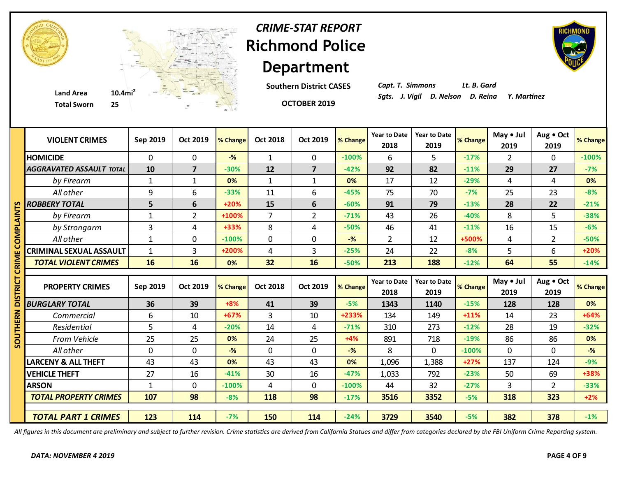

**Southern District CASES**

**OCTOBER 2019**

*Capt. T. Simmons Lt. B. Gard*

|       | <b>VIOLENT CRIMES</b>           | Sep 2019     | Oct 2019       | % Change | <b>Oct 2018</b> | <b>Oct 2019</b> | % Change       | <b>Year to Date</b><br>2018 | <b>Year to Date</b><br>2019 | % Change | May $\bullet$ Jul<br>2019 | Aug . Oct<br>2019 | % Change |
|-------|---------------------------------|--------------|----------------|----------|-----------------|-----------------|----------------|-----------------------------|-----------------------------|----------|---------------------------|-------------------|----------|
|       | <b>HOMICIDE</b>                 | $\mathbf 0$  | $\mathbf 0$    | $-$ %    | $\mathbf{1}$    | $\mathbf 0$     | $-100%$        | 6                           | 5                           | $-17%$   | $\overline{2}$            | $\Omega$          | $-100%$  |
|       | <b>AGGRAVATED ASSAULT TOTAL</b> | 10           | $\overline{7}$ | $-30%$   | 12              | $\overline{7}$  | $-42%$         | 92                          | 82                          | $-11%$   | 29                        | 27                | $-7%$    |
|       | by Firearm                      | $\mathbf{1}$ | $\mathbf{1}$   | 0%       | $\mathbf{1}$    | $\mathbf{1}$    | 0%             | 17                          | 12                          | $-29%$   | 4                         | 4                 | 0%       |
|       | All other                       | 9            | 6              | $-33%$   | 11              | 6               | $-45%$         | 75                          | 70                          | $-7%$    | 25                        | 23                | $-8%$    |
|       | <b>ROBBERY TOTAL</b>            | 5            | 6              | $+20%$   | 15              | 6               | $-60%$         | 91                          | 79                          | $-13%$   | 28                        | 22                | $-21%$   |
|       | by Firearm                      | $\mathbf{1}$ | $\overline{2}$ | +100%    | $\overline{7}$  | $\overline{2}$  | $-71%$         | 43                          | 26                          | $-40%$   | 8                         | 5                 | $-38%$   |
| ō.    | by Strongarm                    | 3            | 4              | $+33%$   | 8               | 4               | $-50%$         | 46                          | 41                          | $-11%$   | 16                        | 15                | $-6%$    |
|       | All other                       | $\mathbf{1}$ | $\mathbf 0$    | $-100%$  | $\mathbf 0$     | $\mathbf 0$     | $-$ %          | $\overline{2}$              | 12                          | +500%    | 4                         | $\overline{2}$    | $-50%$   |
|       | <b>CRIMINAL SEXUAL ASSAULT</b>  | $\mathbf{1}$ | 3              | +200%    | 4               | 3               | $-25%$         | 24                          | 22                          | $-8%$    | 5                         | 6                 | +20%     |
| CRIMI | <b>TOTAL VIOLENT CRIMES</b>     | 16           | 16             | 0%       | 32              | 16              | $-50%$         | 213                         | 188                         | $-12%$   | 64                        | 55                | $-14%$   |
|       |                                 |              |                |          |                 |                 |                |                             |                             |          |                           |                   |          |
|       |                                 |              |                |          |                 |                 |                |                             |                             |          |                           |                   |          |
|       | <b>PROPERTY CRIMES</b>          | Sep 2019     | Oct 2019       | % Change | <b>Oct 2018</b> | <b>Oct 2019</b> | % Change       | <b>Year to Date</b><br>2018 | <b>Year to Date</b><br>2019 | % Change | May • Jul<br>2019         | Aug . Oct<br>2019 |          |
|       | <b>BURGLARY TOTAL</b>           | 36           | 39             | $+8%$    | 41              | 39              | $-5%$          | 1343                        | 1140                        | $-15%$   | 128                       | 128               | 0%       |
|       | Commercial                      | 6            | 10             | $+67%$   | $\overline{3}$  | 10              | +233%          | 134                         | 149                         | $+11%$   | 14                        | 23                | $+64%$   |
| 띥     | Residential                     | 5            | 4              | $-20%$   | 14              | 4               | $-71%$         | 310                         | 273                         | $-12%$   | 28                        | 19                | $-32%$   |
| 3     | From Vehicle                    | 25           | 25             | 0%       | 24              | 25              | $+4%$          | 891                         | 718                         | $-19%$   | 86                        | 86                | 0%       |
|       | All other                       | $\mathbf 0$  | $\mathbf 0$    | $-$ %    | $\mathbf 0$     | $\mathbf 0$     | $-\frac{9}{6}$ | 8                           | 0                           | $-100%$  | $\Omega$                  | $\mathbf 0$       | $-%$     |
|       | <b>LARCENY &amp; ALL THEFT</b>  | 43           | 43             | 0%       | 43              | 43              | 0%             | 1,096                       | 1,388                       | $+27%$   | 137                       | 124               | $-9%$    |
|       | <b>VEHICLE THEFT</b>            | 27           | 16             | $-41%$   | 30              | 16              | $-47%$         | 1,033                       | 792                         | $-23%$   | 50                        | 69                | +38%     |
|       | <b>ARSON</b>                    | $\mathbf{1}$ | $\mathbf 0$    | $-100%$  | 4               | $\mathbf 0$     | $-100%$        | 44                          | 32                          | $-27%$   | 3                         | $\overline{2}$    | $-33%$   |
|       | <b>TOTAL PROPERTY CRIMES</b>    | 107          | 98             | $-8%$    | 118             | 98              | $-17%$         | 3516                        | 3352                        | $-5%$    | 318                       | 323               | $+2%$    |
|       |                                 |              |                |          |                 |                 |                |                             |                             |          |                           |                   | % Change |

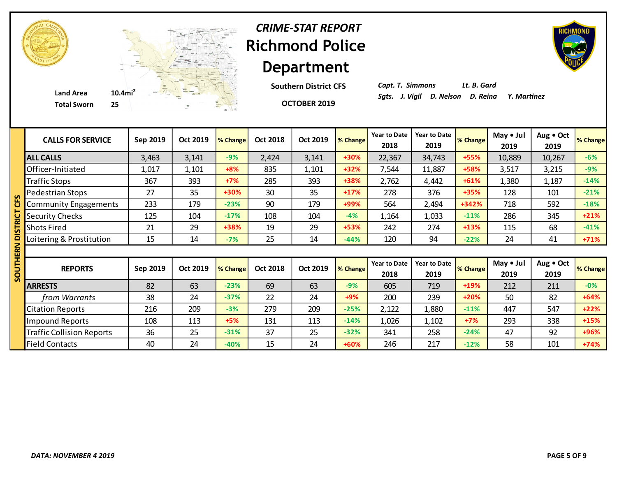

**Southern District CFS**

**OCTOBER 2019**



*Capt. T. Simmons Lt. B. Gard*

| <b>CALLS FOR SERVICE</b>         | Sep 2019 | Oct 2019 | % Change | <b>Oct 2018</b> | Oct 2019 | % Change | <b>Year to Date</b><br>2018 | <b>Year to Date</b><br>2019 | % Change | May • Jul<br>2019 | Aug . Oct<br>2019 | % Change |
|----------------------------------|----------|----------|----------|-----------------|----------|----------|-----------------------------|-----------------------------|----------|-------------------|-------------------|----------|
| <b>ALL CALLS</b>                 | 3,463    | 3,141    | $-9%$    | 2,424           | 3,141    | +30%     | 22,367                      | 34,743                      | +55%     | 10,889            | 10,267            | $-6%$    |
| Officer-Initiated                | 1,017    | 1,101    | $+8%$    | 835             | 1,101    | $+32%$   | 7,544                       | 11,887                      | +58%     | 3,517             | 3,215             | $-9%$    |
| <b>Traffic Stops</b>             | 367      | 393      | $+7%$    | 285             | 393      | +38%     | 2,762                       | 4,442                       | $+61%$   | 1,380             | 1,187             | $-14%$   |
| Pedestrian Stops                 | 27       | 35       | +30%     | 30              | 35       | $+17%$   | 278                         | 376                         | +35%     | 128               | 101               | $-21%$   |
| <b>Community Engagements</b>     | 233      | 179      | $-23%$   | 90              | 179      | +99%     | 564                         | 2,494                       | +342%    | 718               | 592               | $-18%$   |
| <b>Security Checks</b>           | 125      | 104      | $-17%$   | 108             | 104      | $-4%$    | 1,164                       | 1,033                       | $-11%$   | 286               | 345               | $+21%$   |
| <b>Shots Fired</b>               | 21       | 29       | +38%     | 19              | 29       | +53%     | 242                         | 274                         | $+13%$   | 115               | 68                | $-41%$   |
| Loitering & Prostitution         | 15       | 14       | $-7%$    | 25              | 14       | $-44%$   | 120                         | 94                          | $-22%$   | 24                | 41                | $+71%$   |
|                                  |          |          |          |                 |          |          |                             |                             |          |                   |                   |          |
| <b>REPORTS</b>                   | Sep 2019 | Oct 2019 | % Change | <b>Oct 2018</b> | Oct 2019 | % Change | <b>Year to Date</b><br>2018 | <b>Year to Date</b><br>2019 | % Change | May • Jul<br>2019 | Aug . Oct<br>2019 | % Change |
| <b>ARRESTS</b>                   | 82       | 63       | $-23%$   | 69              | 63       | $-9%$    | 605                         | 719                         | +19%     | 212               | 211               | $-0%$    |
| from Warrants                    | 38       | 24       | $-37%$   | 22              | 24       | $+9%$    | 200                         | 239                         | $+20%$   | 50                | 82                | $+64%$   |
| <b>Citation Reports</b>          | 216      | 209      | $-3%$    | 279             | 209      | $-25%$   | 2,122                       | 1,880                       | $-11%$   | 447               | 547               | $+22%$   |
| <b>Impound Reports</b>           | 108      | 113      | $+5%$    | 131             | 113      | $-14%$   | 1,026                       | 1,102                       | $+7%$    | 293               | 338               | $+15%$   |
| <b>Traffic Collision Reports</b> | 36       | 25       | $-31%$   | 37              | 25       | $-32%$   | 341                         | 258                         | $-24%$   | 47                | 92                | +96%     |
| <b>Field Contacts</b>            | 40       | 24       | $-40%$   | 15              | 24       | +60%     | 246                         | 217                         | $-12%$   | 58                | 101               | $+74%$   |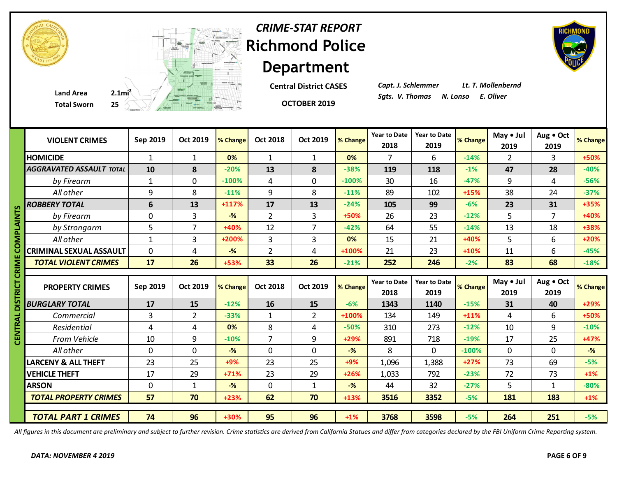

**Central District CASES**

*Capt. J. Schlemmer Lt. T. Mollenbernd*

|              | <b>Total Sworn</b>              | $25 \leftarrow$ | $\frac{1}{\sqrt{2\pi\sigma^2}}\left(1-\frac{1}{\sqrt{2\sigma^2}}\right)^{\frac{1}{2}}\left(1-\frac{1}{\sqrt{2\sigma^2}}\right)^{\frac{1}{2}}$ |          |                 | OCTOBER 2019    |                |                             |                             |          |                   |                   |          |
|--------------|---------------------------------|-----------------|-----------------------------------------------------------------------------------------------------------------------------------------------|----------|-----------------|-----------------|----------------|-----------------------------|-----------------------------|----------|-------------------|-------------------|----------|
|              | <b>VIOLENT CRIMES</b>           | Sep 2019        | Oct 2019                                                                                                                                      | % Change | <b>Oct 2018</b> | <b>Oct 2019</b> | % Change       | <b>Year to Date</b><br>2018 | <b>Year to Date</b><br>2019 | % Change | May • Jul<br>2019 | Aug . Oct<br>2019 | % Change |
|              | <b>HOMICIDE</b>                 | $\mathbf{1}$    | $\mathbf{1}$                                                                                                                                  | 0%       | $\mathbf{1}$    | 1               | 0%             | 7                           | 6                           | $-14%$   | $\overline{2}$    | 3                 | +50%     |
|              | <b>AGGRAVATED ASSAULT TOTAL</b> | 10              | 8                                                                                                                                             | $-20%$   | 13              | 8               | $-38%$         | 119                         | 118                         | $-1%$    | 47                | 28                | $-40%$   |
|              | by Firearm                      | $\mathbf{1}$    | $\mathbf 0$                                                                                                                                   | $-100%$  | 4               | 0               | $-100%$        | 30                          | 16                          | $-47%$   | 9                 | 4                 | $-56%$   |
|              | All other                       | 9               | 8                                                                                                                                             | $-11%$   | 9               | 8               | $-11%$         | 89                          | 102                         | +15%     | 38                | 24                | $-37%$   |
| m            | <b>ROBBERY TOTAL</b>            | 6               | 13                                                                                                                                            | $+117%$  | 17              | 13              | $-24%$         | 105                         | 99                          | $-6%$    | 23                | 31                | +35%     |
|              | by Firearm                      | $\mathbf 0$     | 3                                                                                                                                             | $-$ %    | $\overline{2}$  | 3               | +50%           | 26                          | 23                          | $-12%$   | 5                 | $\overline{7}$    | +40%     |
| <b>PLAIN</b> | by Strongarm                    | 5               | $\overline{7}$                                                                                                                                | +40%     | 12              | $\overline{7}$  | $-42%$         | 64                          | 55                          | $-14%$   | 13                | 18                | +38%     |
| ≅            | All other                       | $\mathbf{1}$    | 3                                                                                                                                             | +200%    | 3               | $\overline{3}$  | 0%             | 15                          | 21                          | +40%     | 5                 | 6                 | $+20%$   |
|              | <b>CRIMINAL SEXUAL ASSAULT</b>  | $\mathbf 0$     | $\overline{4}$                                                                                                                                | $-$ %    | $\overline{2}$  | 4               | +100%          | 21                          | 23                          | $+10%$   | 11                | 6                 | $-45%$   |
|              | <b>TOTAL VIOLENT CRIMES</b>     | 17              | 26                                                                                                                                            | +53%     | 33              | 26              | $-21%$         | 252                         | 246                         | $-2%$    | 83                | 68                | $-18%$   |
| ឨ<br>5       | <b>PROPERTY CRIMES</b>          | Sep 2019        | Oct 2019                                                                                                                                      | % Change | <b>Oct 2018</b> | Oct 2019        | % Change       | <b>Year to Date</b><br>2018 | <b>Year to Date</b><br>2019 | % Change | May • Jul<br>2019 | Aug . Oct<br>2019 | % Change |
|              | <b>BURGLARY TOTAL</b>           | 17              | 15                                                                                                                                            | $-12%$   | 16              | 15              | $-6%$          | 1343                        | 1140                        | $-15%$   | 31                | 40                | +29%     |
|              | Commercial                      | 3               | $\overline{2}$                                                                                                                                | $-33%$   | $\mathbf{1}$    | $\overline{2}$  | +100%          | 134                         | 149                         | $+11%$   | 4                 | 6                 | +50%     |
|              | Residential                     | 4               | 4                                                                                                                                             | 0%       | 8               | 4               | $-50%$         | 310                         | 273                         | $-12%$   | 10                | 9                 | $-10%$   |
| ت<br>تا      | From Vehicle                    | 10              | 9                                                                                                                                             | $-10%$   | 7               | 9               | $+29%$         | 891                         | 718                         | $-19%$   | 17                | 25                | +47%     |
|              | All other                       | 0               | $\mathbf 0$                                                                                                                                   | $-$ %    | $\mathbf 0$     | $\mathbf 0$     | $-$ %          | 8                           | 0                           | $-100%$  | $\mathbf 0$       | $\mathbf 0$       | $-%$     |
|              | <b>LARCENY &amp; ALL THEFT</b>  | 23              | 25                                                                                                                                            | +9%      | 23              | 25              | +9%            | 1,096                       | 1,388                       | $+27%$   | 73                | 69                | $-5%$    |
|              | <b>VEHICLE THEFT</b>            | 17              | 29                                                                                                                                            | $+71%$   | 23              | 29              | $+26%$         | 1,033                       | 792                         | $-23%$   | 72                | 73                | $+1\%$   |
|              | <b>ARSON</b>                    | $\mathbf 0$     | $\mathbf{1}$                                                                                                                                  | $-%$     | $\mathbf 0$     | $\mathbf{1}$    | $-\frac{9}{6}$ | 44                          | 32                          | $-27%$   | 5                 | $\mathbf{1}$      | $-80%$   |
|              | <b>TOTAL PROPERTY CRIMES</b>    | 57              | 70                                                                                                                                            | $+23%$   | 62              | 70              | $+13%$         | 3516                        | 3352                        | $-5%$    | 181               | 183               | $+1\%$   |
|              | <b>TOTAL PART 1 CRIMES</b>      | 74              | 96                                                                                                                                            | +30%     | 95              | 96              | $+1%$          | 3768                        | 3598                        | $-5%$    | 264               | 251               | $-5%$    |

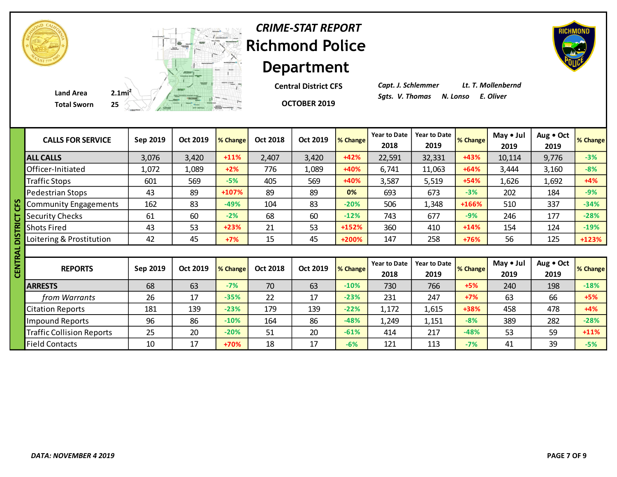

**Central District CFS**

**OCTOBER 2019**

*Capt. J. Schlemmer Lt. T. Mollenbernd*

| <b>CALLS FOR SERVICE</b>         | Sep 2019 | Oct 2019 | % Change | <b>Oct 2018</b> | Oct 2019 | % Change | <b>Year to Date</b><br>2018 | <b>Year to Date</b><br>2019 | % Change | May • Jul<br>2019 | Aug . Oct<br>2019 | % Change |
|----------------------------------|----------|----------|----------|-----------------|----------|----------|-----------------------------|-----------------------------|----------|-------------------|-------------------|----------|
| <b>ALL CALLS</b>                 | 3,076    | 3,420    | $+11%$   | 2,407           | 3,420    | $+42%$   | 22,591                      | 32,331                      | $+43%$   | 10,114            | 9,776             | $-3%$    |
| Officer-Initiated                | 1,072    | 1,089    | $+2%$    | 776             | 1,089    | +40%     | 6,741                       | 11,063                      | $+64%$   | 3,444             | 3,160             | $-8%$    |
| <b>Traffic Stops</b>             | 601      | 569      | $-5%$    | 405             | 569      | +40%     | 3,587                       | 5,519                       | $+54%$   | 1,626             | 1,692             | $+4%$    |
| Pedestrian Stops                 | 43       | 89       | +107%    | 89              | 89       | 0%       | 693                         | 673                         | $-3%$    | 202               | 184               | $-9%$    |
| <b>Community Engagements</b>     | 162      | 83       | $-49%$   | 104             | 83       | $-20%$   | 506                         | 1,348                       | +166%    | 510               | 337               | $-34%$   |
| <b>Security Checks</b>           | 61       | 60       | $-2%$    | 68              | 60       | $-12%$   | 743                         | 677                         | $-9%$    | 246               | 177               | $-28%$   |
| <b>Shots Fired</b>               | 43       | 53       | $+23%$   | 21              | 53       | +152%    | 360                         | 410                         | $+14%$   | 154               | 124               | $-19%$   |
| Loitering & Prostitution         | 42       | 45       | $+7%$    | 15              | 45       | +200%    | 147                         | 258                         | +76%     | 56                | 125               | +123%    |
|                                  |          |          |          |                 |          |          |                             |                             |          |                   |                   |          |
| <b>REPORTS</b>                   | Sep 2019 | Oct 2019 | % Change | Oct 2018        | Oct 2019 | % Change | <b>Year to Date</b><br>2018 | <b>Year to Date</b><br>2019 | % Change | May • Jul<br>2019 | Aug . Oct<br>2019 | % Change |
| <b>ARRESTS</b>                   | 68       | 63       | $-7%$    | 70              | 63       | $-10%$   | 730                         | 766                         | $+5%$    | 240               | 198               | $-18%$   |
| from Warrants                    | 26       | 17       | $-35%$   | 22              | 17       | $-23%$   | 231                         | 247                         | $+7%$    | 63                | 66                | $+5%$    |
| <b>Citation Reports</b>          | 181      | 139      | $-23%$   | 179             | 139      | $-22%$   | 1,172                       | 1,615                       | +38%     | 458               | 478               | $+4%$    |
| Impound Reports                  | 96       | 86       | $-10%$   | 164             | 86       | $-48%$   | 1,249                       | 1,151                       | $-8%$    | 389               | 282               | $-28%$   |
| <b>Traffic Collision Reports</b> | 25       | 20       | $-20%$   | 51              | 20       | $-61%$   | 414                         | 217                         | $-48%$   | 53                | 59                | $+11%$   |
| <b>Field Contacts</b>            | 10       | 17       | $+70%$   | 18              | 17       | $-6%$    | 121                         | 113                         | $-7%$    | 41                | 39                | $-5%$    |

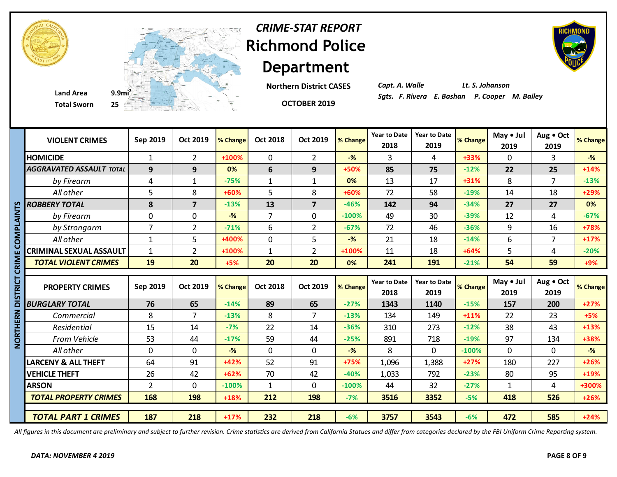



**Total Sworn 25**

**Department Northern District CASES**



**OCTOBER 2019**

*CRIME-STAT REPORT*

*Capt. A. Walle Lt. S. Johanson Sgts. F. Rivera E. Bashan P. Cooper M. Bailey* **Land Area 9.9mi<sup>2</sup>**

|            | <b>VIOLENT CRIMES</b>           | Sep 2019       | <b>Oct 2019</b> | % Change | <b>Oct 2018</b> | Oct 2019        | % Change       | <b>Year to Date</b><br>2018 | <b>Year to Date</b><br>2019 | % Change | May • Jul<br>2019 | Aug . Oct<br>2019 | % Change       |
|------------|---------------------------------|----------------|-----------------|----------|-----------------|-----------------|----------------|-----------------------------|-----------------------------|----------|-------------------|-------------------|----------------|
|            | <b>HOMICIDE</b>                 | $\mathbf{1}$   | 2               | +100%    | $\mathbf 0$     | $\overline{2}$  | $-\frac{9}{6}$ | 3                           | 4                           | +33%     | $\mathbf 0$       | 3                 | $-%$           |
|            | <b>AGGRAVATED ASSAULT TOTAL</b> | 9              | 9               | 0%       | 6               | 9               | +50%           | 85                          | 75                          | $-12%$   | 22                | 25                | $+14%$         |
|            | by Firearm                      | 4              | $\mathbf{1}$    | $-75%$   | 1               | $\mathbf{1}$    | 0%             | 13                          | 17                          | $+31%$   | 8                 | $\overline{7}$    | $-13%$         |
|            | All other                       | 5              | 8               | +60%     | 5               | 8               | +60%           | 72                          | 58                          | $-19%$   | 14                | 18                | +29%           |
| n          | <b>ROBBERY TOTAL</b>            | 8              | $\overline{7}$  | $-13%$   | 13              | $\overline{7}$  | $-46%$         | 142                         | 94                          | $-34%$   | 27                | 27                | 0%             |
| צן<br>ז    | by Firearm                      | $\overline{0}$ | $\mathbf 0$     | $-$ %    | $\overline{7}$  | $\mathbf 0$     | $-100%$        | 49                          | 30                          | $-39%$   | 12                | 4                 | $-67%$         |
|            | by Strongarm                    | $\overline{7}$ | $\overline{2}$  | $-71%$   | 6               | $\overline{2}$  | $-67%$         | 72                          | 46                          | $-36%$   | 9                 | 16                | +78%           |
| DNPI       | All other                       | $\mathbf{1}$   | 5               | +400%    | $\mathbf 0$     | 5               | $-\frac{9}{6}$ | 21                          | 18                          | $-14%$   | 6                 | $\overline{7}$    | $+17%$         |
|            | <b>CRIMINAL SEXUAL ASSAULT</b>  | $\mathbf{1}$   | $\overline{2}$  | +100%    | $\mathbf{1}$    | $\overline{2}$  | +100%          | 11                          | 18                          | $+64%$   | 5                 | 4                 | $-20%$         |
| <b>MIX</b> | <b>TOTAL VIOLENT CRIMES</b>     | 19             | 20              | $+5%$    | 20              | 20              | 0%             | 241                         | 191                         | $-21%$   | 54                | 59                | $+9%$          |
| ō          |                                 |                |                 |          |                 |                 |                |                             |                             |          |                   |                   |                |
|            |                                 |                |                 |          |                 |                 |                |                             |                             |          |                   |                   |                |
| RICT       | <b>PROPERTY CRIMES</b>          | Sep 2019       | <b>Oct 2019</b> | % Change | <b>Oct 2018</b> | <b>Oct 2019</b> | % Change       | <b>Year to Date</b><br>2018 | <b>Year to Date</b><br>2019 | % Change | May • Jul<br>2019 | Aug . Oct<br>2019 | % Change       |
| ក          | <b>BURGLARY TOTAL</b>           | 76             | 65              | $-14%$   | 89              | 65              | $-27%$         | 1343                        | 1140                        | $-15%$   | 157               | 200               | $+27%$         |
|            | Commercial                      | 8              | $\overline{7}$  | $-13%$   | 8               | 7               | $-13%$         | 134                         | 149                         | $+11%$   | 22                | 23                | $+5%$          |
| ERN<br>론   | Residential                     | 15             | 14              | $-7%$    | 22              | 14              | $-36%$         | 310                         | 273                         | $-12%$   | 38                | 43                | $+13%$         |
|            | <b>From Vehicle</b>             | 53             | 44              | $-17%$   | 59              | 44              | $-25%$         | 891                         | 718                         | $-19%$   | 97                | 134               | +38%           |
| <b>DRT</b> | All other                       | $\Omega$       | $\mathbf 0$     | $-$ %    | $\mathbf 0$     | $\mathbf 0$     | $-\frac{9}{6}$ | 8                           | $\Omega$                    | $-100%$  | $\Omega$          | $\mathbf 0$       | $-\frac{9}{6}$ |
|            | <b>LARCENY &amp; ALL THEFT</b>  | 64             | 91              | $+42%$   | 52              | 91              | +75%           | 1,096                       | 1,388                       | $+27%$   | 180               | 227               | $+26%$         |
|            | <b>VEHICLE THEFT</b>            | 26             | 42              | $+62%$   | 70              | 42              | $-40%$         | 1,033                       | 792                         | $-23%$   | 80                | 95                | $+19%$         |
|            | <b>ARSON</b>                    | $\overline{2}$ | 0               | $-100%$  | $\mathbf{1}$    | $\mathbf 0$     | $-100%$        | 44                          | 32                          | $-27%$   | 1                 | $\overline{4}$    | +300%          |
|            | <b>TOTAL PROPERTY CRIMES</b>    | 168            | 198             | +18%     | 212             | 198             | $-7%$          | 3516                        | 3352                        | $-5%$    | 418               | 526               | $+26%$         |
|            | <b>TOTAL PART 1 CRIMES</b>      | 187            | 218             | $+17%$   | 232             | 218             | $-6%$          | 3757                        | 3543                        | $-6%$    | 472               | 585               | $+24%$         |